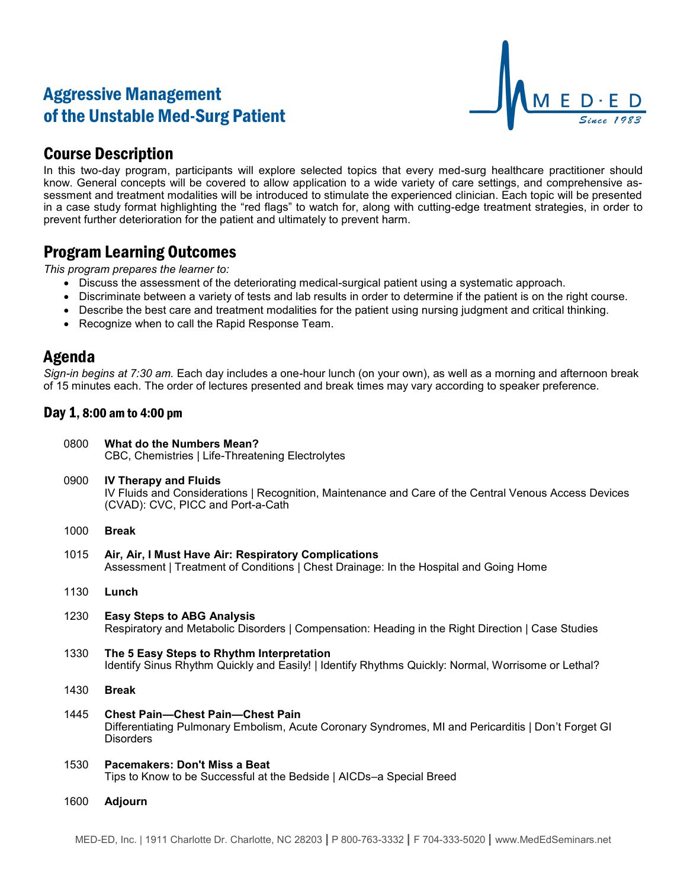# Aggressive Management of the Unstable Med-Surg Patient



## Course Description

In this two-day program, participants will explore selected topics that every med-surg healthcare practitioner should know. General concepts will be covered to allow application to a wide variety of care settings, and comprehensive assessment and treatment modalities will be introduced to stimulate the experienced clinician. Each topic will be presented in a case study format highlighting the "red flags" to watch for, along with cutting-edge treatment strategies, in order to prevent further deterioration for the patient and ultimately to prevent harm.

### Program Learning Outcomes

*This program prepares the learner to:*

- Discuss the assessment of the deteriorating medical-surgical patient using a systematic approach.
- Discriminate between a variety of tests and lab results in order to determine if the patient is on the right course.
- Describe the best care and treatment modalities for the patient using nursing judgment and critical thinking.
- Recognize when to call the Rapid Response Team.

### Agenda

*Sign-in begins at 7:30 am.* Each day includes a one-hour lunch (on your own), as well as a morning and afternoon break of 15 minutes each. The order of lectures presented and break times may vary according to speaker preference.

### Day 1, 8:00 am to 4:00 pm

| 0800 | What do the Numbers Mean?<br>CBC, Chemistries   Life-Threatening Electrolytes                                                                                              |
|------|----------------------------------------------------------------------------------------------------------------------------------------------------------------------------|
| 0900 | <b>IV Therapy and Fluids</b><br>IV Fluids and Considerations   Recognition, Maintenance and Care of the Central Venous Access Devices<br>(CVAD): CVC, PICC and Port-a-Cath |
| 1000 | <b>Break</b>                                                                                                                                                               |
| 1015 | Air, Air, I Must Have Air: Respiratory Complications<br>Assessment   Treatment of Conditions   Chest Drainage: In the Hospital and Going Home                              |
| 1130 | Lunch                                                                                                                                                                      |
| 1230 | <b>Easy Steps to ABG Analysis</b><br>Respiratory and Metabolic Disorders   Compensation: Heading in the Right Direction   Case Studies                                     |
| 1330 | The 5 Easy Steps to Rhythm Interpretation<br>Identify Sinus Rhythm Quickly and Easily!   Identify Rhythms Quickly: Normal, Worrisome or Lethal?                            |
| 1430 | <b>Break</b>                                                                                                                                                               |
| 1445 | <b>Chest Pain-Chest Pain-Chest Pain</b><br>Differentiating Pulmonary Embolism, Acute Coronary Syndromes, MI and Pericarditis   Don't Forget GI<br><b>Disorders</b>         |
| 1530 | Pacemakers: Don't Miss a Beat<br>Tips to Know to be Successful at the Bedside   AICDs-a Special Breed                                                                      |
|      |                                                                                                                                                                            |

1600 **Adjourn**